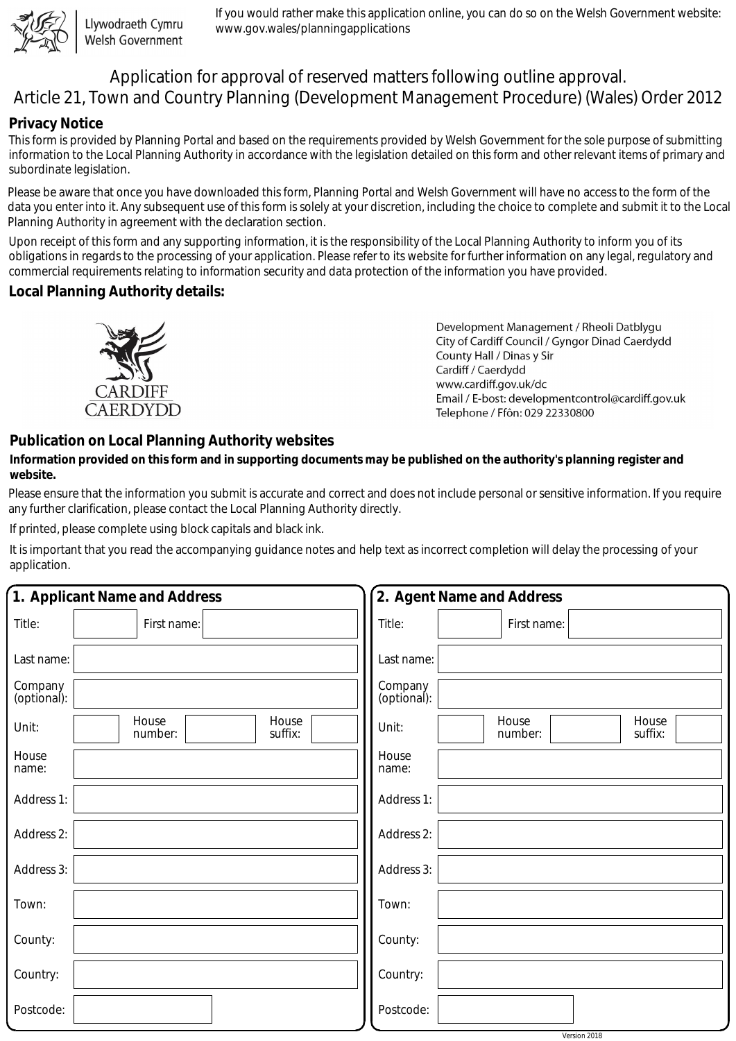

Llywodraeth Cymru Welsh Government

If you would rather make this application online, you can do so on the Welsh Government website: www.gov.wales/planningapplications

# Application for approval of reserved matters following outline approval. Article 21, Town and Country Planning (Development Management Procedure) (Wales) Order 2012

## **Privacy Notice**

This form is provided by Planning Portal and based on the requirements provided by Welsh Government for the sole purpose of submitting information to the Local Planning Authority in accordance with the legislation detailed on this form and other relevant items of primary and subordinate legislation.

Please be aware that once you have downloaded this form, Planning Portal and Welsh Government will have no access to the form of the data you enter into it. Any subsequent use of this form is solely at your discretion, including the choice to complete and submit it to the Local Planning Authority in agreement with the declaration section.

Upon receipt of this form and any supporting information, it is the responsibility of the Local Planning Authority to inform you of its obligations in regards to the processing of your application. Please refer to its website for further information on any legal, regulatory and commercial requirements relating to information security and data protection of the information you have provided.

## **Local Planning Authority details:**



Development Management / Rheoli Datblygu City of Cardiff Council / Gyngor Dinad Caerdydd County Hall / Dinas y Sir Cardiff / Caerdydd www.cardiff.gov.uk/dc Email / E-bost: developmentcontrol@cardiff.gov.uk Telephone / Ffôn: 029 22330800

# **Publication on Local Planning Authority websites**

#### **Information provided on this form and in supporting documents may be published on the authority's planning register and website.**

Please ensure that the information you submit is accurate and correct and does not include personal or sensitive information. If you require any further clarification, please contact the Local Planning Authority directly.

If printed, please complete using block capitals and black ink.

It is important that you read the accompanying guidance notes and help text as incorrect completion will delay the processing of your application.

| 1. Applicant Name and Address                 | 2. Agent Name and Address                     |
|-----------------------------------------------|-----------------------------------------------|
| Title:<br>First name:                         | Title:<br>First name:                         |
| Last name:                                    | Last name:                                    |
| Company<br>(optional):                        | Company<br>(optional):                        |
| House<br>House<br>Unit:<br>number:<br>suffix: | House<br>House<br>Unit:<br>number:<br>suffix: |
| House<br>name:                                | House<br>name:                                |
| Address 1:                                    | Address 1:                                    |
| Address 2:                                    | Address 2:                                    |
| Address 3:                                    | Address 3:                                    |
| Town:                                         | Town:                                         |
| County:                                       | County:                                       |
| Country:                                      | Country:                                      |
| Postcode:                                     | Postcode:                                     |

Version 2018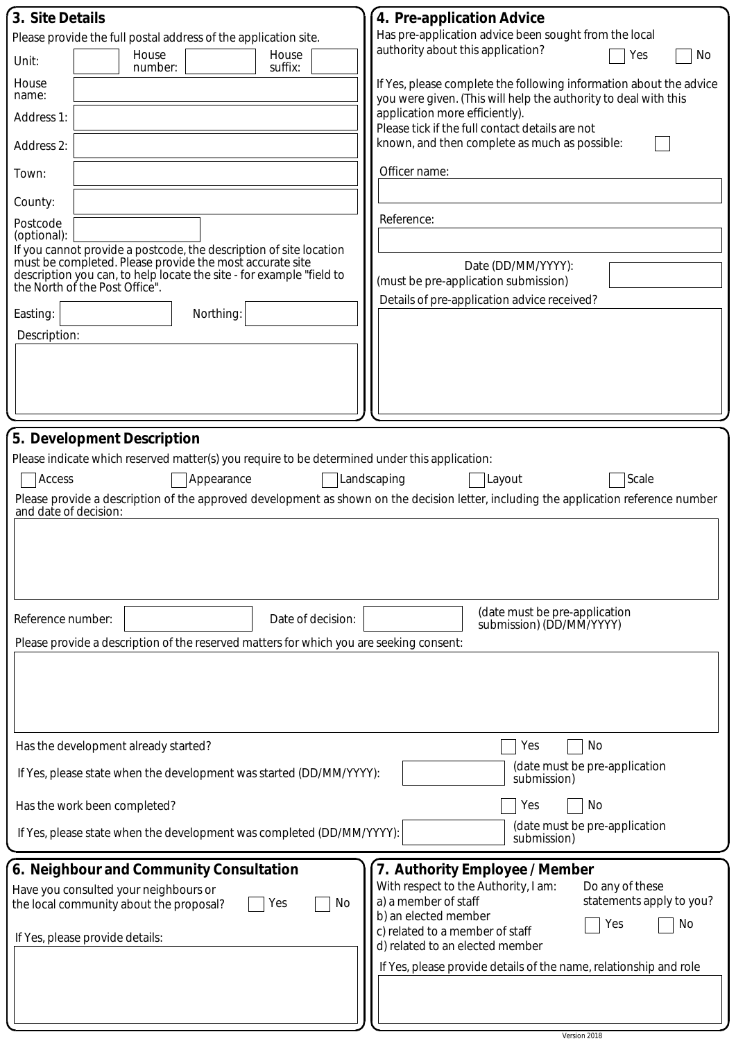| 3. Site Details                                                                                                                                                    | 4. Pre-application Advice                                                                                                             |  |
|--------------------------------------------------------------------------------------------------------------------------------------------------------------------|---------------------------------------------------------------------------------------------------------------------------------------|--|
| Please provide the full postal address of the application site.                                                                                                    | Has pre-application advice been sought from the local<br>authority about this application?                                            |  |
| House<br>House<br>Unit:<br>suffix:<br>number:                                                                                                                      | No<br>Yes                                                                                                                             |  |
| House<br>name:                                                                                                                                                     | If Yes, please complete the following information about the advice<br>you were given. (This will help the authority to deal with this |  |
| Address 1:                                                                                                                                                         | application more efficiently).<br>Please tick if the full contact details are not                                                     |  |
| Address 2:                                                                                                                                                         | known, and then complete as much as possible:                                                                                         |  |
| Town:                                                                                                                                                              | Officer name:                                                                                                                         |  |
| County:                                                                                                                                                            |                                                                                                                                       |  |
| Postcode<br>(optional):                                                                                                                                            | Reference:                                                                                                                            |  |
| If you cannot provide a postcode, the description of site location                                                                                                 |                                                                                                                                       |  |
| must be completed. Please provide the most accurate site<br>description you can, to help locate the site - for example "field to<br>the North of the Post Office". | Date (DD/MM/YYYY):                                                                                                                    |  |
|                                                                                                                                                                    | (must be pre-application submission)<br>Details of pre-application advice received?                                                   |  |
| Easting:<br>Northing:                                                                                                                                              |                                                                                                                                       |  |
| Description:                                                                                                                                                       |                                                                                                                                       |  |
|                                                                                                                                                                    |                                                                                                                                       |  |
|                                                                                                                                                                    |                                                                                                                                       |  |
|                                                                                                                                                                    |                                                                                                                                       |  |
|                                                                                                                                                                    |                                                                                                                                       |  |
| 5. Development Description                                                                                                                                         |                                                                                                                                       |  |
| Please indicate which reserved matter(s) you require to be determined under this application:                                                                      |                                                                                                                                       |  |
| Access<br>Appearance                                                                                                                                               | Landscaping<br>Layout<br>Scale                                                                                                        |  |
| and date of decision:                                                                                                                                              | Please provide a description of the approved development as shown on the decision letter, including the application reference number  |  |
|                                                                                                                                                                    |                                                                                                                                       |  |
|                                                                                                                                                                    |                                                                                                                                       |  |
|                                                                                                                                                                    |                                                                                                                                       |  |
|                                                                                                                                                                    |                                                                                                                                       |  |
| Reference number:<br>Date of decision:                                                                                                                             | (date must be pre-application<br>submission) (DD/MM/YYYY)                                                                             |  |
| Please provide a description of the reserved matters for which you are seeking consent:                                                                            |                                                                                                                                       |  |
|                                                                                                                                                                    |                                                                                                                                       |  |
|                                                                                                                                                                    |                                                                                                                                       |  |
|                                                                                                                                                                    |                                                                                                                                       |  |
|                                                                                                                                                                    |                                                                                                                                       |  |
| Has the development already started?                                                                                                                               | No<br>Yes<br>(date must be pre-application                                                                                            |  |
| If Yes, please state when the development was started (DD/MM/YYYY):                                                                                                | submission)                                                                                                                           |  |
| Has the work been completed?                                                                                                                                       | No<br>Yes                                                                                                                             |  |
| (date must be pre-application<br>If Yes, please state when the development was completed (DD/MM/YYYY):<br>submission)                                              |                                                                                                                                       |  |
| 6. Neighbour and Community Consultation                                                                                                                            | 7. Authority Employee / Member                                                                                                        |  |
| Have you consulted your neighbours or                                                                                                                              | With respect to the Authority, I am:<br>Do any of these                                                                               |  |
| No<br>Yes<br>the local community about the proposal?                                                                                                               | a) a member of staff<br>statements apply to you?<br>b) an elected member                                                              |  |
| If Yes, please provide details:                                                                                                                                    | No<br>Yes<br>c) related to a member of staff                                                                                          |  |
|                                                                                                                                                                    | d) related to an elected member                                                                                                       |  |
|                                                                                                                                                                    | If Yes, please provide details of the name, relationship and role                                                                     |  |
|                                                                                                                                                                    |                                                                                                                                       |  |
|                                                                                                                                                                    |                                                                                                                                       |  |
|                                                                                                                                                                    | Version 2018                                                                                                                          |  |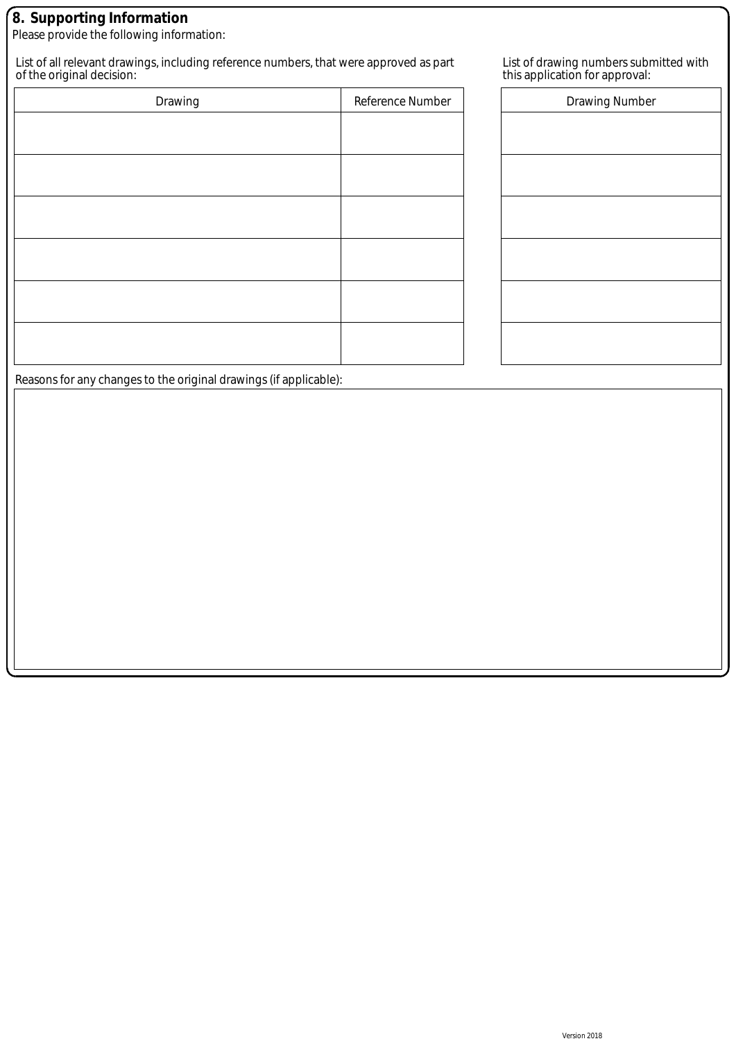### **8. Supporting Information**

Please provide the following information:

List of all relevant drawings, including reference numbers, that were approved as part of the original decision:

| Drawing | Reference Number |
|---------|------------------|
|         |                  |
|         |                  |
|         |                  |
|         |                  |
|         |                  |
|         |                  |
|         |                  |

| List of drawing numbers submitted with |
|----------------------------------------|
| this application for approval:         |

| Drawing Number |  |
|----------------|--|
|                |  |
|                |  |
|                |  |
|                |  |
|                |  |
|                |  |
|                |  |
|                |  |

Reasons for any changes to the original drawings (if applicable):